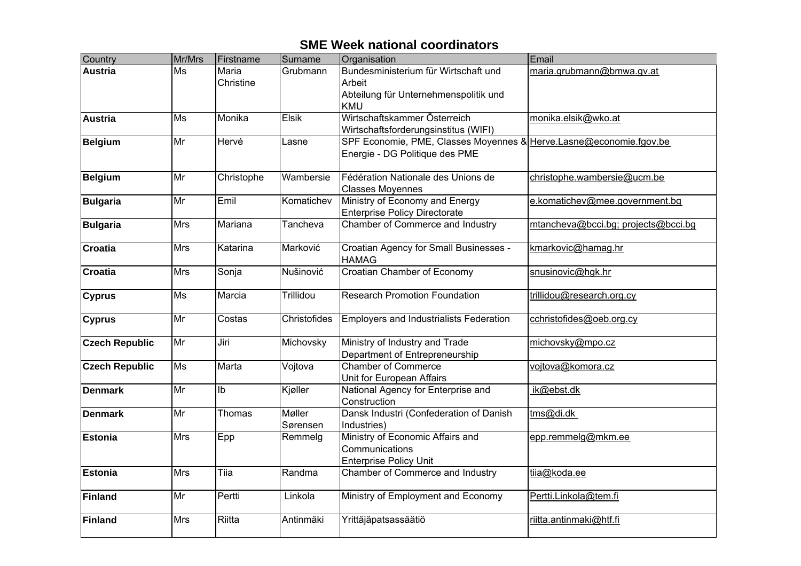| Country               | Mr/Mrs                   | Firstname                 | Surname            | Organisation                                                                                          | Email                               |
|-----------------------|--------------------------|---------------------------|--------------------|-------------------------------------------------------------------------------------------------------|-------------------------------------|
| <b>Austria</b>        | $\overline{\mathsf{Ms}}$ | <b>Maria</b><br>Christine | Grubmann           | Bundesministerium für Wirtschaft und<br>Arbeit<br>Abteilung für Unternehmenspolitik und<br><b>KMU</b> | maria.grubmann@bmwa.gv.at           |
| <b>Austria</b>        | Ms                       | Monika                    | <b>Elsik</b>       | Wirtschaftskammer Österreich<br>Wirtschaftsforderungsinstitus (WIFI)                                  | monika.elsik@wko.at                 |
| <b>Belgium</b>        | $\overline{\mathsf{Mr}}$ | Hervé                     | Lasne              | SPF Economie, PME, Classes Moyennes & Herve.Lasne@economie.fgov.be<br>Energie - DG Politique des PME  |                                     |
| <b>Belgium</b>        | Mr                       | Christophe                | Wambersie          | Fédération Nationale des Unions de<br><b>Classes Moyennes</b>                                         | christophe.wambersie@ucm.be         |
| <b>Bulgaria</b>       | Mr                       | Emil                      | Komatichev         | Ministry of Economy and Energy<br><b>Enterprise Policy Directorate</b>                                | e.komatichev@mee.government.bg      |
| <b>Bulgaria</b>       | <b>Mrs</b>               | Mariana                   | Tancheva           | Chamber of Commerce and Industry                                                                      | mtancheva@bcci.bg; projects@bcci.bg |
| <b>Croatia</b>        | <b>Mrs</b>               | Katarina                  | Marković           | Croatian Agency for Small Businesses -<br><b>HAMAG</b>                                                | kmarkovic@hamag.hr                  |
| <b>Croatia</b>        | <b>Mrs</b>               | Sonja                     | Nušinović          | <b>Croatian Chamber of Economy</b>                                                                    | snusinovic@hgk.hr                   |
| <b>Cyprus</b>         | Ms                       | Marcia                    | Trillidou          | <b>Research Promotion Foundation</b>                                                                  | trillidou@research.org.cy           |
| <b>Cyprus</b>         | Mr                       | Costas                    | Christofides       | <b>Employers and Industrialists Federation</b>                                                        | cchristofides@oeb.org.cy            |
| <b>Czech Republic</b> | Mr                       | Jiri                      | Michovsky          | Ministry of Industry and Trade<br>Department of Entrepreneurship                                      | michovsky@mpo.cz                    |
| <b>Czech Republic</b> | $\overline{\mathsf{Ms}}$ | Marta                     | Vojtova            | <b>Chamber of Commerce</b><br>Unit for European Affairs                                               | vojtova@komora.cz                   |
| <b>Denmark</b>        | Mr                       | Ib                        | Kjøller            | National Agency for Enterprise and<br>Construction                                                    | ik@ebst.dk                          |
| <b>Denmark</b>        | Mr                       | Thomas                    | Møller<br>Sørensen | Dansk Industri (Confederation of Danish<br>Industries)                                                | tms@di.dk                           |
| <b>Estonia</b>        | <b>Mrs</b>               | Epp                       | Remmelg            | Ministry of Economic Affairs and<br>Communications<br><b>Enterprise Policy Unit</b>                   | epp.remmelg@mkm.ee                  |
| <b>Estonia</b>        | <b>Mrs</b>               | Tiia                      | Randma             | Chamber of Commerce and Industry                                                                      | tiia@koda.ee                        |
| Finland               | Mr                       | Pertti                    | Linkola            | Ministry of Employment and Economy                                                                    | Pertti.Linkola@tem.fi               |
| Finland               | Mrs                      | Riitta                    | Antinmäki          | Yrittäjäpatsassäätiö                                                                                  | riitta.antinmaki@htf.fi             |

## **SME Week national coordinators**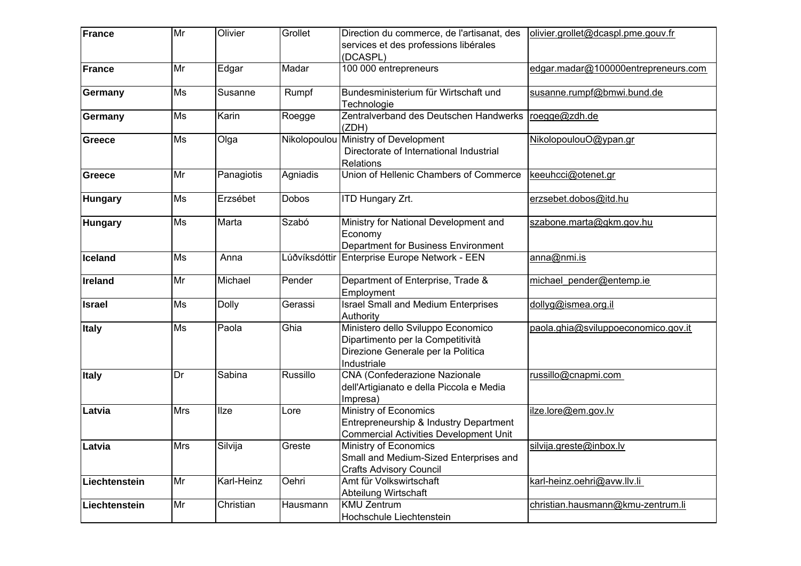| France         | Mr         | Olivier      | Grollet       | Direction du commerce, de l'artisanat, des                                                                                   | olivier.grollet@dcaspl.pme.gouv.fr  |
|----------------|------------|--------------|---------------|------------------------------------------------------------------------------------------------------------------------------|-------------------------------------|
|                |            |              |               | services et des professions libérales<br>(DCASPL)                                                                            |                                     |
| France         | Mr         | Edgar        | Madar         | 100 000 entrepreneurs                                                                                                        | edgar.madar@100000entrepreneurs.com |
| Germany        | Ms         | Susanne      | Rumpf         | Bundesministerium für Wirtschaft und<br>Technologie                                                                          | susanne.rumpf@bmwi.bund.de          |
| <b>Germany</b> | Ms         | Karin        | Roegge        | Zentralverband des Deutschen Handwerks<br>(ZDH)                                                                              | roegge@zdh.de                       |
| Greece         | <b>Ms</b>  | Olga         | Nikolopoulou  | Ministry of Development<br>Directorate of International Industrial<br><b>Relations</b>                                       | NikolopoulouO@ypan.gr               |
| Greece         | Mr         | Panagiotis   | Agniadis      | Union of Hellenic Chambers of Commerce                                                                                       | keeuhcci@otenet.gr                  |
| <b>Hungary</b> | Ms         | Erzsébet     | <b>Dobos</b>  | <b>ITD Hungary Zrt.</b>                                                                                                      | erzsebet.dobos@itd.hu               |
| <b>Hungary</b> | Ms         | Marta        | Szabó         | Ministry for National Development and<br>Economy<br>Department for Business Environment                                      | szabone.marta@gkm.gov.hu            |
| Iceland        | Ms         | Anna         | Lúðvíksdóttir | Enterprise Europe Network - EEN                                                                                              | anna@nmi.is                         |
| Ireland        | Mr         | Michael      | Pender        | Department of Enterprise, Trade &<br>Employment                                                                              | michael pender@entemp.ie            |
| <b>Israel</b>  | Ms         | <b>Dolly</b> | Gerassi       | <b>Israel Small and Medium Enterprises</b><br>Authority                                                                      | dollyg@ismea.org.il                 |
| Italy          | <b>Ms</b>  | Paola        | Ghia          | Ministero dello Sviluppo Economico<br>Dipartimento per la Competitività<br>Direzione Generale per la Politica<br>Industriale | paola.ghia@sviluppoeconomico.gov.it |
| <b>Italy</b>   | Dr         | Sabina       | Russillo      | <b>CNA (Confederazione Nazionale</b><br>dell'Artigianato e della Piccola e Media<br>Impresa)                                 | russillo@cnapmi.com                 |
| Latvia         | <b>Mrs</b> | <b>Ilze</b>  | Lore          | Ministry of Economics<br>Entrepreneurship & Industry Department<br><b>Commercial Activities Development Unit</b>             | ilze.lore@em.gov.lv                 |
| Latvia         | <b>Mrs</b> | Silvija      | Greste        | Ministry of Economics<br>Small and Medium-Sized Enterprises and<br><b>Crafts Advisory Council</b>                            | silvija.greste@inbox.lv             |
| Liechtenstein  | Mr         | Karl-Heinz   | Oehri         | Amt für Volkswirtschaft<br>Abteilung Wirtschaft                                                                              | karl-heinz.oehri@avw.llv.li         |
| Liechtenstein  | Mr         | Christian    | Hausmann      | <b>KMU Zentrum</b><br>Hochschule Liechtenstein                                                                               | christian.hausmann@kmu-zentrum.li   |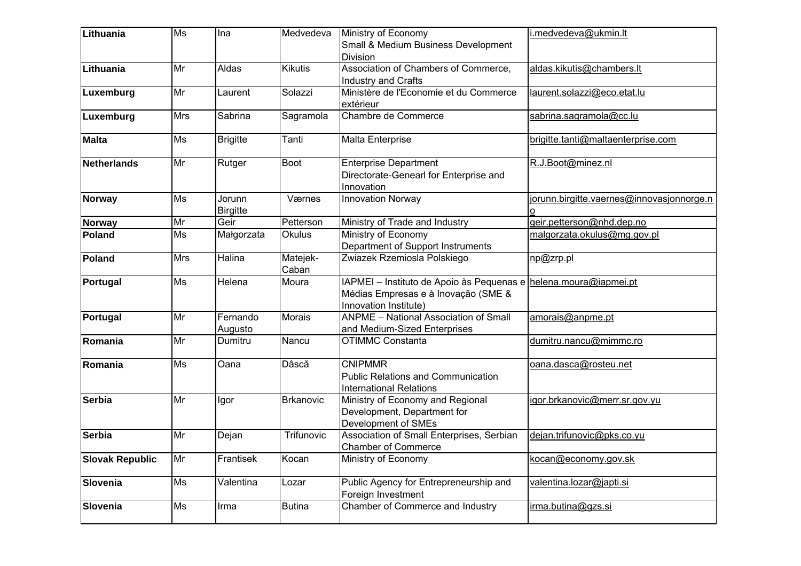| Lithuania              | Ms         | Ina                       | Medvedeva         | Ministry of Economy<br>Small & Medium Business Development                                                                       | i.medvedeva@ukmin.lt                      |
|------------------------|------------|---------------------------|-------------------|----------------------------------------------------------------------------------------------------------------------------------|-------------------------------------------|
|                        |            |                           |                   | Division                                                                                                                         |                                           |
| Lithuania              | Mr         | Aldas                     | <b>Kikutis</b>    | Association of Chambers of Commerce,<br>Industry and Crafts                                                                      | aldas.kikutis@chambers.lt                 |
| Luxemburg              | Mr         | Laurent                   | Solazzi           | Ministère de l'Economie et du Commerce<br>extérieur                                                                              | laurent.solazzi@eco.etat.lu               |
| Luxemburg              | <b>Mrs</b> | Sabrina                   | Sagramola         | Chambre de Commerce                                                                                                              | sabrina.sagramola@cc.lu                   |
| <b>Malta</b>           | Ms         | <b>Brigitte</b>           | Tanti             | Malta Enterprise                                                                                                                 | brigitte.tanti@maltaenterprise.com        |
| Netherlands            | Mr         | Rutger                    | Boot              | <b>Enterprise Department</b><br>Directorate-Genearl for Enterprise and<br>Innovation                                             | R.J.Boot@minez.nl                         |
| Norway                 | Ms         | Jorunn<br><b>Birgitte</b> | Værnes            | <b>Innovation Norway</b>                                                                                                         | jorunn.birgitte.vaernes@innovasjonnorge.n |
| <b>Norway</b>          | Mr         | Geir                      | Petterson         | Ministry of Trade and Industry                                                                                                   | geir.petterson@nhd.dep.no                 |
| Poland                 | Ms         | Małgorzata                | <b>Okulus</b>     | Ministry of Economy<br>Department of Support Instruments                                                                         | malgorzata.okulus@mg.gov.pl               |
| Poland                 | <b>Mrs</b> | <b>Halina</b>             | Matejek-<br>Caban | Zwiazek Rzemiosla Polskiego                                                                                                      | np@zrp.pl                                 |
| Portugal               | Ms         | Helena                    | Moura             | IAPMEI - Instituto de Apoio às Pequenas e helena moura@iapmei.pt<br>Médias Empresas e à Inovação (SME &<br>Innovation Institute) |                                           |
| Portugal               | Mr         | Fernando<br>Augusto       | <b>Morais</b>     | <b>ANPME - National Association of Small</b><br>and Medium-Sized Enterprises                                                     | amorais@anpme.pt                          |
| Romania                | Mr         | Dumitru                   | Nancu             | <b>OTIMMC Constanta</b>                                                                                                          | dumitru.nancu@mimmc.ro                    |
| Romania                | Ms         | <b>Oana</b>               | Dâscă             | <b>CNIPMMR</b><br><b>Public Relations and Communication</b><br><b>International Relations</b>                                    | oana.dasca@rosteu.net                     |
| Serbia                 | Mr         | Igor                      | <b>Brkanovic</b>  | Ministry of Economy and Regional<br>Development, Department for<br>Development of SMEs                                           | igor.brkanovic@merr.sr.gov.yu             |
| Serbia                 | Mr         | Dejan                     | Trifunovic        | Association of Small Enterprises, Serbian<br><b>Chamber of Commerce</b>                                                          | dejan.trifunovic@pks.co.yu                |
| <b>Slovak Republic</b> | Mr         | Frantisek                 | Kocan             | Ministry of Economy                                                                                                              | kocan@economy.gov.sk                      |
| Slovenia               | <b>Ms</b>  | Valentina                 | Lozar             | Public Agency for Entrepreneurship and<br>Foreign Investment                                                                     | valentina.lozar@japti.si                  |
| Slovenia               | Ms         | Irma                      | Butina            | Chamber of Commerce and Industry                                                                                                 | irma.butina@gzs.si                        |